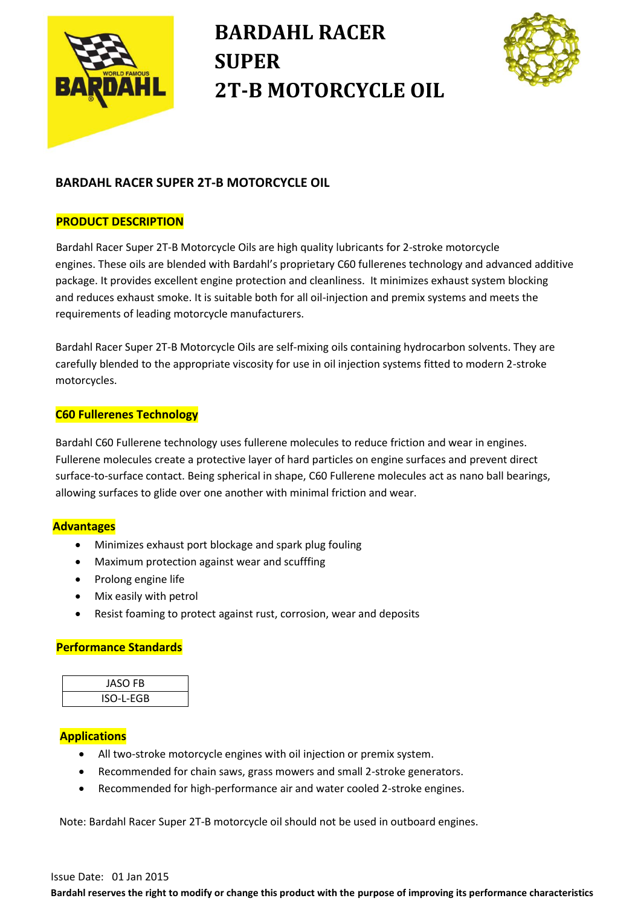

# **BARDAHL RACER SUPER 2T-B MOTORCYCLE OIL**



## **BARDAHL RACER SUPER 2T-B MOTORCYCLE OIL**

### **PRODUCT DESCRIPTION**

Bardahl Racer Super 2T-B Motorcycle Oils are high quality lubricants for 2-stroke motorcycle engines. These oils are blended with Bardahl's proprietary C60 fullerenes technology and advanced additive package. It provides excellent engine protection and cleanliness. It minimizes exhaust system blocking and reduces exhaust smoke. It is suitable both for all oil-injection and premix systems and meets the requirements of leading motorcycle manufacturers.

 Bardahl Racer Super 2T-B Motorcycle Oils are self-mixing oils containing hydrocarbon solvents. They are carefully blended to the appropriate viscosity for use in oil injection systems fitted to modern 2-stroke motorcycles.

### **C60 Fullerenes Technology**

 Bardahl C60 Fullerene technology uses fullerene molecules to reduce friction and wear in engines. Fullerene molecules create a protective layer of hard particles on engine surfaces and prevent direct surface-to-surface contact. Being spherical in shape, C60 Fullerene molecules act as nano ball bearings, allowing surfaces to glide over one another with minimal friction and wear.

### **Advantages**

- Minimizes exhaust port blockage and spark plug fouling
- Maximum protection against wear and scufffing
- Prolong engine life
- Mix easily with petrol
- Resist foaming to protect against rust, corrosion, wear and deposits

### **Performance Standards**



#### **Applications**

- All two-stroke motorcycle engines with oil injection or premix system.
- Recommended for chain saws, grass mowers and small 2-stroke generators.
- Recommended for high-performance air and water cooled 2-stroke engines.

Note: Bardahl Racer Super 2T-B motorcycle oil should not be used in outboard engines.

#### Issue Date: 01 Jan 2015

**Bardahl reserves the right to modify or change this product with the purpose of improving its performance characteristics**